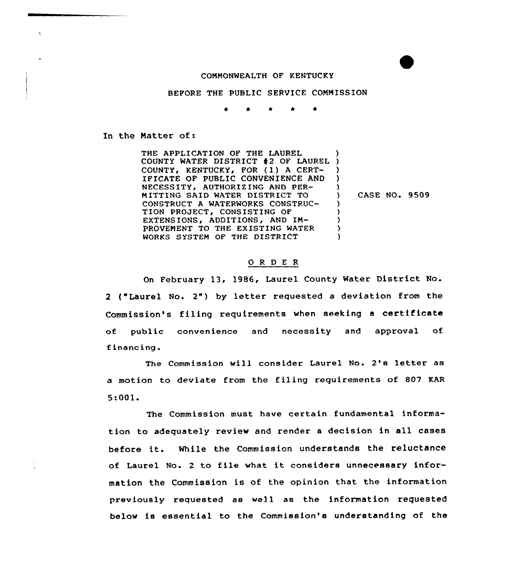## CONNONWEALTH OF KENTUCKY

BEFORE THE PUBLIC SERVICE CONNISSION

\* \* \* \*

In the Natter of:

THE APPLICATION OF THE LAUREL COUNTY WATER DISTRICT 42 OF LAUREL COUNTY, KENTUCKY, FOR (1) A CERT-IFICATE OF PUBLIC CONVENIENCE AND NECESSITY, AUTHORIZING AND PER-MITTING SAID WATER DISTRICT TO CONSTRUCT A WATERWORKS CONSTRUC-TION PROJECT, CONSISTING OF EXTENSIONS, ADDITIONS, AND IN-PROVEMENT TO THE EXISTING WATER WORKS SYSTEM OF THE DISTRICT ) ) ) ) ) ) CASE NO. 9509 ) } ) ) )

## O R D E R

On February 13, 1986, Laurel County Water District No. <sup>2</sup> ("Laurel No. 2") by letter requested <sup>a</sup> deviation from the Commission's filing requirements when seeking <sup>a</sup> certificate of public convenience and necessity and approval of financing.

The Commission will consider Laurel No. 2's letter as a motion to deviate from the filing requirements of 807 KAR 5:001.

The Commission must have certain fundamental information to adequately review and render a decision in all cases before it. While the Commission understands the reluctance of Laurel No. <sup>2</sup> to file what it considers unnecessary information the Commission is of the opinion that the information previously requested as well as the information requested below is essential to the Commission's understanding of the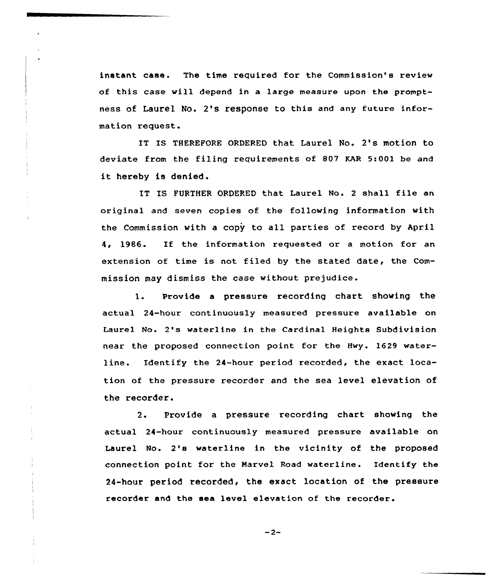instant case. The time required for the Commission's review of this case will depend in a large measure upon the promptness of Laurel No. 2's response to this and any future information request.

IT IS THEREFORE ORDERED that Laurel No. 2's motion to deviate from the filing requirements of 807 KAR 5:001 be and it hereby is denied.

IT IS FURTHER ORDERED that Laurel No. <sup>2</sup> shall file an original and seven copies of the following information with the Commission with a copy to all parties of record by April 4, 1986. If the information requested or <sup>a</sup> motion for an extension of time is not filed by the stated date, the Commission may dismiss the case without prejudice.

1. Provide <sup>a</sup> pressure recording chart showing the actual 24-hour continuously measured pressure available on Laurel No. 2's waterline in the Cardinal Heights Subdivision near the proposed connection point for the Hwy. 1629 waterline. Identify the 24-hour period recorded, the exact location of the pressure reccrder and the sea level elevation of the recorder.

2. Provide <sup>a</sup> pressure recording chart showing the actual 24-hour continuously measured pressure available on Laurel No. 2's waterline in the vicinity of the proposed connection point for the Marvel Road waterline. Identify the 24-hour period recorded, the exact location of the pressure recorder and the sea level elevation of the recorder.

 $-2-$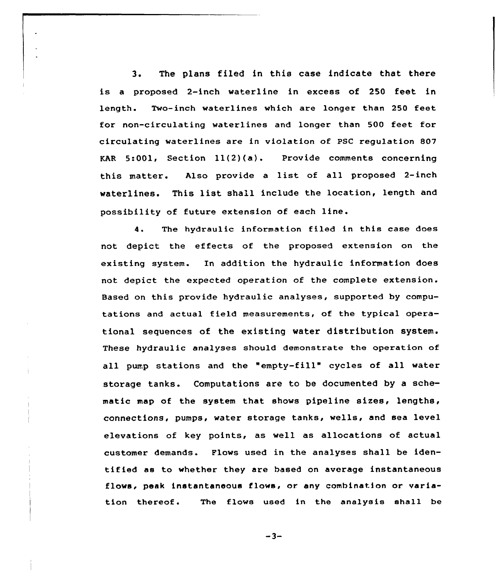3. The plans filed in this case indicate that there is <sup>a</sup> proposed 2-inch waterline in excess of 250 feet in length. Two-inch waterlines which are longer than 250 feet for non-circulating waterlines and longer than 500 feet for circulating waterlines are in violation of PSC regulation 807 KAR 5:001, Section  $11(2)(a)$ . Provide comments concerning this matter. Also provide <sup>a</sup> list of all proposed 2-inch waterlines. This list shall include the location, length and possibility of future extension of each line.

4. The hydraulic information filed in this case does not depict the effects of the proposed extension on the existing system. In addition the hydraulic information does not depict the expected operation of the complete extension. Based on this provide hydraulic analyses, supported by computations and actual field measurements, of the typical operational sequences of the existing water distribution system. These hydraulic analyses should demonstrate the operation of all pump stations and the "empty-fill" cycles of all water storage tanks. Computations are to be documented by a schematic map of the system that shows pipeline sizes, lengths, connections, pumps, water storage tanks, wells, and sea level elevations of key points, as well as allocations of actual customer demands. Flows used in the analyses shall be identified as to whether they are based on average instantaneous flows, peak instantaneous flows< or any combination or variation thereof. The flows used in the analysis shall be

 $-3-$